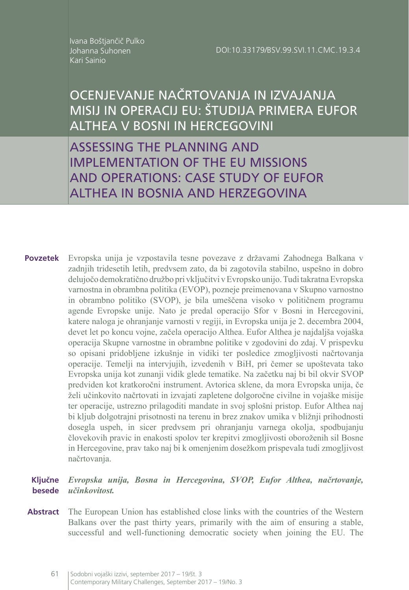Ivana Boštjančič Pulko Johanna Suhonen Kari Sainio

# OCENJEVANJE NAČRTOVANJA IN IZVAJANJA MISIJ IN OPERACIJ EU: ŠTUDIJA PRIMERA EUFOR ALTHEA V BOSNI IN HERCEGOVINI

ASSESSING THE PLANNING AND IMPLEMENTATION OF THE EU MISSIONS AND OPERATIONS: CASE STUDY OF EUFOR ALTHEA IN BOSNIA AND HERZEGOVINA

Evropska unija je vzpostavila tesne povezave z državami Zahodnega Balkana v zadnjih tridesetih letih, predvsem zato, da bi zagotovila stabilno, uspešno in dobro delujočo demokratično družbo pri vključitvi v Evropsko unijo. Tudi takratna Evropska varnostna in obrambna politika (EVOP), pozneje preimenovana v Skupno varnostno in obrambno politiko (SVOP), je bila umeščena visoko v političnem programu agende Evropske unije. Nato je predal operacijo Sfor v Bosni in Hercegovini, katere naloga je ohranjanje varnosti v regiji, in Evropska unija je 2. decembra 2004, devet let po koncu vojne, začela operacijo Althea. Eufor Althea je najdaljša vojaška operacija Skupne varnostne in obrambne politike v zgodovini do zdaj. V prispevku so opisani pridobljene izkušnje in vidiki ter posledice zmogljivosti načrtovanja operacije. Temelji na intervjujih, izvedenih v BiH, pri čemer se upoštevata tako Evropska unija kot zunanji vidik glede tematike. Na začetku naj bi bil okvir SVOP predviden kot kratkoročni instrument. Avtorica sklene, da mora Evropska unija, če želi učinkovito načrtovati in izvajati zapletene dolgoročne civilne in vojaške misije ter operacije, ustrezno prilagoditi mandate in svoj splošni pristop. Eufor Althea naj bi kljub dolgotrajni prisotnosti na terenu in brez znakov umika v bližnji prihodnosti dosegla uspeh, in sicer predvsem pri ohranjanju varnega okolja, spodbujanju človekovih pravic in enakosti spolov ter krepitvi zmogljivosti oboroženih sil Bosne in Hercegovine, prav tako naj bi k omenjenim dosežkom prispevala tudi zmogljivost načrtovanja. **Povzetek**

#### *Evropska unija, Bosna in Hercegovina, SVOP, Eufor Althea, načrtovanje,*  **Ključne**  *učinkovitost.* **besede**

The European Union has established close links with the countries of the Western Balkans over the past thirty years, primarily with the aim of ensuring a stable, successful and well-functioning democratic society when joining the EU. The **Abstract**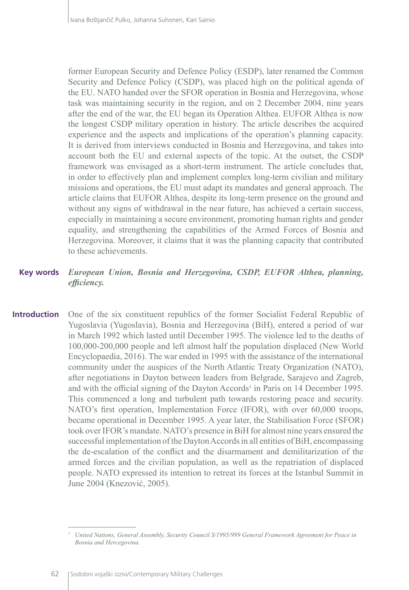former European Security and Defence Policy (ESDP), later renamed the Common Security and Defence Policy (CSDP), was placed high on the political agenda of the EU. NATO handed over the SFOR operation in Bosnia and Herzegovina, whose task was maintaining security in the region, and on 2 December 2004, nine years after the end of the war, the EU began its Operation Althea. EUFOR Althea is now the longest CSDP military operation in history. The article describes the acquired experience and the aspects and implications of the operation's planning capacity. It is derived from interviews conducted in Bosnia and Herzegovina, and takes into account both the EU and external aspects of the topic. At the outset, the CSDP framework was envisaged as a short-term instrument. The article concludes that, in order to effectively plan and implement complex long-term civilian and military missions and operations, the EU must adapt its mandates and general approach. The article claims that EUFOR Althea, despite its long-term presence on the ground and without any signs of withdrawal in the near future, has achieved a certain success, especially in maintaining a secure environment, promoting human rights and gender equality, and strengthening the capabilities of the Armed Forces of Bosnia and Herzegovina. Moreover, it claims that it was the planning capacity that contributed to these achievements.

### *European Union, Bosnia and Herzegovina, CSDP, EUFOR Althea, planning, efficiency.* **Key words**

One of the six constituent republics of the former Socialist Federal Republic of Yugoslavia (Yugoslavia), Bosnia and Herzegovina (BiH), entered a period of war in March 1992 which lasted until December 1995. The violence led to the deaths of 100,000-200,000 people and left almost half the population displaced (New World Encyclopaedia, 2016). The war ended in 1995 with the assistance of the international community under the auspices of the North Atlantic Treaty Organization (NATO), after negotiations in Dayton between leaders from Belgrade, Sarajevo and Zagreb, and with the official signing of the Dayton Accords<sup>1</sup> in Paris on 14 December 1995. This commenced a long and turbulent path towards restoring peace and security. NATO's first operation, Implementation Force (IFOR), with over 60,000 troops, became operational in December 1995. A year later, the Stabilisation Force (SFOR) took over IFOR's mandate. NATO's presence in BiH for almost nine years ensured the successful implementation of the Dayton Accords in all entities of BiH, encompassing the de-escalation of the conflict and the disarmament and demilitarization of the armed forces and the civilian population, as well as the repatriation of displaced people. NATO expressed its intention to retreat its forces at the Istanbul Summit in June 2004 (Knezović, 2005). **Introduction**

*<sup>1</sup> United Nations, General Assembly, Security Council S/1995/999 General Framework Agreement for Peace in Bosnia and Hercegovina.*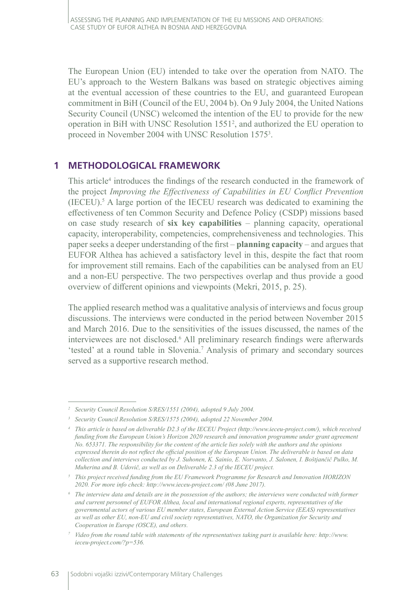The European Union (EU) intended to take over the operation from NATO. The EU's approach to the Western Balkans was based on strategic objectives aiming at the eventual accession of these countries to the EU, and guaranteed European commitment in BiH (Council of the EU, 2004 b). On 9 July 2004, the United Nations Security Council (UNSC) welcomed the intention of the EU to provide for the new operation in BiH with UNSC Resolution 1551<sup>2</sup> , and authorized the EU operation to proceed in November 2004 with UNSC Resolution 1575<sup>3</sup>.

# **1 METHODOLOGICAL FRAMEWORK**

This article<sup>4</sup> introduces the findings of the research conducted in the framework of the project *Improving the Effectiveness of Capabilities in EU Conflict Prevention*  $(IEEEU)$ .<sup>5</sup> A large portion of the IECEU research was dedicated to examining the effectiveness of ten Common Security and Defence Policy (CSDP) missions based on case study research of **six key capabilities** – planning capacity, operational capacity, interoperability, competencies, comprehensiveness and technologies. This paper seeks a deeper understanding of the first – **planning capacity** – and argues that EUFOR Althea has achieved a satisfactory level in this, despite the fact that room for improvement still remains. Each of the capabilities can be analysed from an EU and a non-EU perspective. The two perspectives overlap and thus provide a good overview of different opinions and viewpoints (Mekri, 2015, p. 25).

The applied research method was a qualitative analysis of interviews and focus group discussions. The interviews were conducted in the period between November 2015 and March 2016. Due to the sensitivities of the issues discussed, the names of the interviewees are not disclosed.<sup>6</sup> All preliminary research findings were afterwards 'tested' at a round table in Slovenia.<sup>7</sup> Analysis of primary and secondary sources served as a supportive research method.

*<sup>2</sup> Security Council Resolution S/RES/1551 (2004), adopted 9 July 2004.*

*<sup>3</sup> Security Council Resolution S/RES/1575 (2004), adopted 22 November 2004.*

*<sup>4</sup> This article is based on deliverable D2.3 of the IECEU Project (http://www.ieceu-project.com/), which received funding from the European Union's Horizon 2020 research and innovation programme under grant agreement No. 653371. The responsibility for the content of the article lies solely with the authors and the opinions expressed therein do not reflect the official position of the European Union. The deliverable is based on data collection and interviews conducted by J. Suhonen, K. Sainio, E. Norvanto, J. Salonen, I. Boštjančič Pulko, M. Muherina and B. Udovič, as well as on Deliverable 2.3 of the IECEU project.*

*<sup>5</sup> This project received funding from the EU Framework Programme for Research and Innovation HORIZON 2020. For more info check: http://www.ieceu-project.com/ (08 June 2017).* 

*<sup>6</sup> The interview data and details are in the possession of the authors; the interviews were conducted with former and current personnel of EUFOR Althea, local and international regional experts, representatives of the governmental actors of various EU member states, European External Action Service (EEAS) representatives as well as other EU, non-EU and civil society representatives, NATO, the Organization for Security and Cooperation in Europe (OSCE), and others.*

*<sup>7</sup> Video from the round table with statements of the representatives taking part is available here: http://www. ieceu-project.com/?p=536.*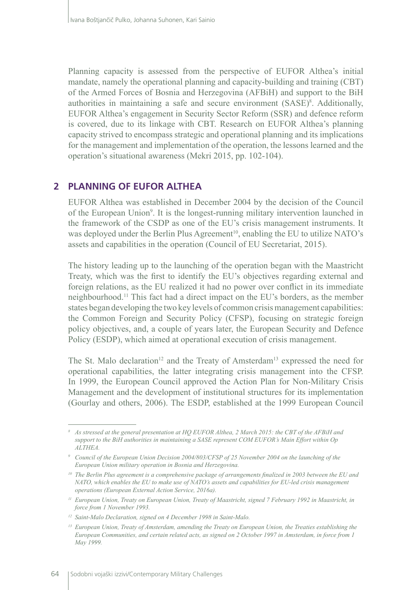Planning capacity is assessed from the perspective of EUFOR Althea's initial mandate, namely the operational planning and capacity-building and training (CBT) of the Armed Forces of Bosnia and Herzegovina (AFBiH) and support to the BiH authorities in maintaining a safe and secure environment (SASE)<sup>8</sup>. Additionally, EUFOR Althea's engagement in Security Sector Reform (SSR) and defence reform is covered, due to its linkage with CBT. Research on EUFOR Althea's planning capacity strived to encompass strategic and operational planning and its implications for the management and implementation of the operation, the lessons learned and the operation's situational awareness (Mekri 2015, pp. 102-104).

# **2 PLANNING OF EUFOR ALTHEA**

EUFOR Althea was established in December 2004 by the decision of the Council of the European Union<sup>9</sup>. It is the longest-running military intervention launched in the framework of the CSDP as one of the EU's crisis management instruments. It was deployed under the Berlin Plus Agreement<sup>10</sup>, enabling the EU to utilize NATO's assets and capabilities in the operation (Council of EU Secretariat, 2015).

The history leading up to the launching of the operation began with the Maastricht Treaty, which was the first to identify the EU's objectives regarding external and foreign relations, as the EU realized it had no power over conflict in its immediate neighbourhood.11 This fact had a direct impact on the EU's borders, as the member states began developing the two key levels of common crisis management capabilities: the Common Foreign and Security Policy (CFSP), focusing on strategic foreign policy objectives, and, a couple of years later, the European Security and Defence Policy (ESDP), which aimed at operational execution of crisis management.

The St. Malo declaration<sup>12</sup> and the Treaty of Amsterdam<sup>13</sup> expressed the need for operational capabilities, the latter integrating crisis management into the CFSP. In 1999, the European Council approved the Action Plan for Non-Military Crisis Management and the development of institutional structures for its implementation (Gourlay and others, 2006). The ESDP, established at the 1999 European Council

*<sup>8</sup> As stressed at the general presentation at HQ EUFOR Althea, 2 March 2015: the CBT of the AFBiH and support to the BiH authorities in maintaining a SASE represent COM EUFOR's Main Effort within Op ALTHEA.*

*<sup>9</sup> Council of the European Union Decision 2004/803/CFSP of 25 November 2004 on the launching of the European Union military operation in Bosnia and Herzegovina.*

<sup>&</sup>lt;sup>10</sup> The Berlin Plus agreement is a comprehensive package of arrangements finalized in 2003 between the EU and *NATO, which enables the EU to make use of NATO's assets and capabilities for EU-led crisis management operations (European External Action Service, 2016a).*

*<sup>11</sup> European Union, Treaty on European Union, Treaty of Maastricht, signed 7 February 1992 in Maastricht, in force from 1 November 1993.*

*<sup>12</sup> Saint-Malo Declaration, signed on 4 December 1998 in Saint-Malo.* 

*<sup>13</sup> European Union, Treaty of Amsterdam, amending the Treaty on European Union, the Treaties establishing the European Communities, and certain related acts, as signed on 2 October 1997 in Amsterdam, in force from 1 May 1999.*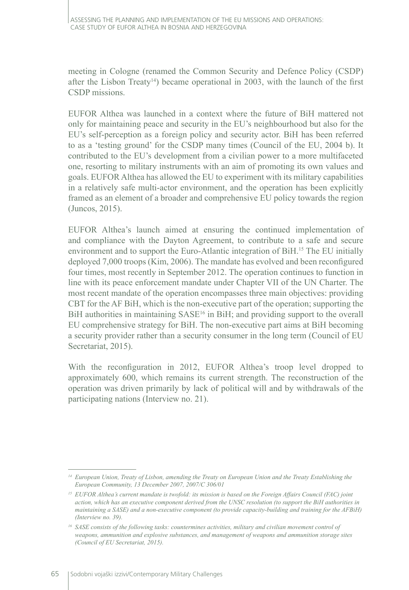meeting in Cologne (renamed the Common Security and Defence Policy (CSDP) after the Lisbon Treaty<sup>14</sup>) became operational in 2003, with the launch of the first CSDP missions.

EUFOR Althea was launched in a context where the future of BiH mattered not only for maintaining peace and security in the EU's neighbourhood but also for the EU's self-perception as a foreign policy and security actor. BiH has been referred to as a 'testing ground' for the CSDP many times (Council of the EU, 2004 b). It contributed to the EU's development from a civilian power to a more multifaceted one, resorting to military instruments with an aim of promoting its own values and goals. EUFOR Althea has allowed the EU to experiment with its military capabilities in a relatively safe multi-actor environment, and the operation has been explicitly framed as an element of a broader and comprehensive EU policy towards the region (Juncos, 2015).

EUFOR Althea's launch aimed at ensuring the continued implementation of and compliance with the Dayton Agreement, to contribute to a safe and secure environment and to support the Euro-Atlantic integration of BiH.<sup>15</sup> The EU initially deployed 7,000 troops (Kim, 2006). The mandate has evolved and been reconfigured four times, most recently in September 2012. The operation continues to function in line with its peace enforcement mandate under Chapter VII of the UN Charter. The most recent mandate of the operation encompasses three main objectives: providing CBT for the AF BiH, which is the non-executive part of the operation; supporting the BiH authorities in maintaining SASE<sup>16</sup> in BiH; and providing support to the overall EU comprehensive strategy for BiH. The non-executive part aims at BiH becoming a security provider rather than a security consumer in the long term (Council of EU Secretariat, 2015).

With the reconfiguration in 2012, EUFOR Althea's troop level dropped to approximately 600, which remains its current strength. The reconstruction of the operation was driven primarily by lack of political will and by withdrawals of the participating nations (Interview no. 21).

*<sup>14</sup> European Union, Treaty of Lisbon, amending the Treaty on European Union and the Treaty Establishing the European Community, 13 December 2007, 2007/C 306/01*

*<sup>15</sup> EUFOR Althea's current mandate is twofold: its mission is based on the Foreign Affairs Council (FAC) joint action, which has an executive component derived from the UNSC resolution (to support the BiH authorities in maintaining a SASE) and a non-executive component (to provide capacity-building and training for the AFBiH) (Interview no. 39).*

*<sup>16</sup> SASE consists of the following tasks: countermines activities, military and civilian movement control of weapons, ammunition and explosive substances, and management of weapons and ammunition storage sites (Council of EU Secretariat, 2015).*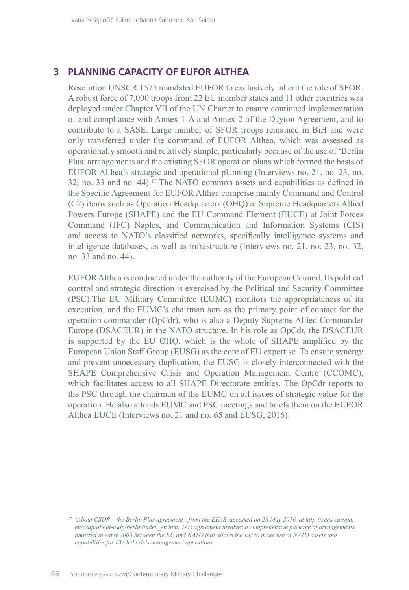# **3 PLANNING CAPACITY OF EUFOR ALTHEA**

Resolution UNSCR 1575 mandated EUFOR to exclusively inherit the role of SFOR. A robust force of 7,000 troops from 22 EU member states and 11 other countries was deployed under Chapter VII of the UN Charter to ensure continued implementation of and compliance with Annex 1-A and Annex 2 of the Dayton Agreement, and to contribute to a SASE. Large number of SFOR troops remained in BiH and were only transferred under the command of EUFOR Althea, which was assessed as operationally smooth and relatively simple, particularly because of the use of 'Berlin Plus' arrangements and the existing SFOR operation plans which formed the basis of EUFOR Althea's strategic and operational planning (Interviews no. 21, no. 23, no. 32, no. 33 and no. 44).<sup>17</sup> The NATO common assets and capabilities as defined in the Specific Agreement for EUFOR Althea comprise mainly Command and Control (C2) items such as Operation Headquarters (OHQ) at Supreme Headquarters Allied Powers Europe (SHAPE) and the EU Command Element (EUCE) at Joint Forces Command (JFC) Naples, and Communication and Information Systems (CIS) and access to NATO's classified networks, specifically intelligence systems and intelligence databases, as well as infrastructure (Interviews no. 21, no. 23, no. 32, no. 33 and no. 44).

EUFOR Althea is conducted under the authority of the European Council. Its political control and strategic direction is exercised by the Political and Security Committee (PSC).The EU Military Committee (EUMC) monitors the appropriateness of its execution, and the EUMC's chairman acts as the primary point of contact for the operation commander (OpCdr), who is also a Deputy Supreme Allied Commander Europe (DSACEUR) in the NATO structure. In his role as OpCdr, the DSACEUR is supported by the EU OHQ, which is the whole of SHAPE amplified by the European Union Staff Group (EUSG) as the core of EU expertise. To ensure synergy and prevent unnecessary duplication, the EUSG is closely interconnected with the SHAPE Comprehensive Crisis and Operation Management Centre (CCOMC), which facilitates access to all SHAPE Directorate entities. The OpCdr reports to the PSC through the chairman of the EUMC on all issues of strategic value for the operation. He also attends EUMC and PSC meetings and briefs them on the EUFOR Althea EUCE (Interviews no. 21 and no. 65 and EUSG, 2016).

*<sup>17</sup> 'About CSDP – the Berlin Plus agreement', from the EEAS, accessed on 26 May 2016, at http://eeas.europa. eu/csdp/about-csdp/berlin/index\_en.htm. This agreement involves a comprehensive package of arrangements finalized in early 2003 between the EU and NATO that allows the EU to make use of NATO assets and capabilities for EU-led crisis management operations.*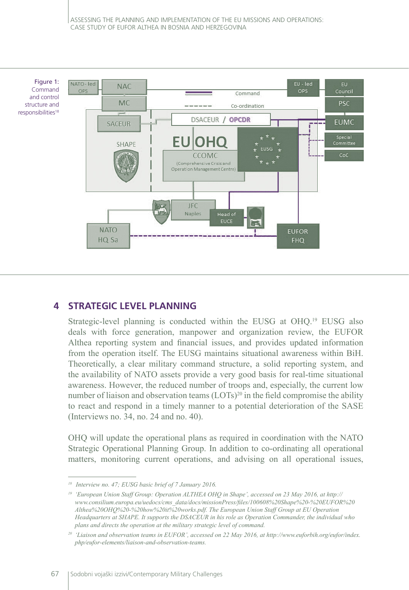

# **4 STRATEGIC LEVEL PLANNING**

Strategic-level planning is conducted within the EUSG at OHQ.19 EUSG also deals with force generation, manpower and organization review, the EUFOR Althea reporting system and financial issues, and provides updated information from the operation itself. The EUSG maintains situational awareness within BiH. Theoretically, a clear military command structure, a solid reporting system, and the availability of NATO assets provide a very good basis for real-time situational awareness. However, the reduced number of troops and, especially, the current low number of liaison and observation teams  $(LOTs)^{20}$  in the field compromise the ability to react and respond in a timely manner to a potential deterioration of the SASE (Interviews no. 34, no. 24 and no. 40).

OHQ will update the operational plans as required in coordination with the NATO Strategic Operational Planning Group. In addition to co-ordinating all operational matters, monitoring current operations, and advising on all operational issues,

*<sup>18</sup> Interview no. 47; EUSG basic brief of 7 January 2016.*

*<sup>19</sup> 'European Union Staff Group: Operation ALTHEA OHQ in Shape', accessed on 23 May 2016, at http:// www.consilium.europa.eu/uedocs/cms\_data/docs/missionPress/files/100608%20Shape%20‑%20EUFOR%20 Althea%20OHQ%20-%20how%20it%20works.pdf. The European Union Staff Group at EU Operation Headquarters at SHAPE. It supports the DSACEUR in his role as Operation Commander, the individual who plans and directs the operation at the military strategic level of command.*

*<sup>20</sup> 'Liaison and observation teams in EUFOR', accessed on 22 May 2016, at http://www.euforbih.org/eufor/index. php/eufor-elements/liaison-and-observation-teams.*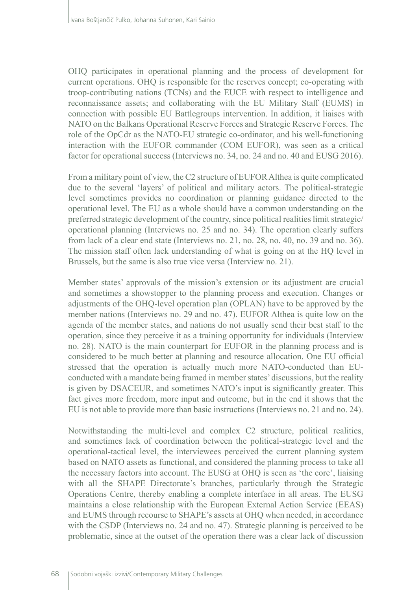OHQ participates in operational planning and the process of development for current operations. OHQ is responsible for the reserves concept; co-operating with troop‑contributing nations (TCNs) and the EUCE with respect to intelligence and reconnaissance assets; and collaborating with the EU Military Staff (EUMS) in connection with possible EU Battlegroups intervention. In addition, it liaises with NATO on the Balkans Operational Reserve Forces and Strategic Reserve Forces. The role of the OpCdr as the NATO-EU strategic co-ordinator, and his well-functioning interaction with the EUFOR commander (COM EUFOR), was seen as a critical factor for operational success (Interviews no. 34, no. 24 and no. 40 and EUSG 2016).

From a military point of view, the C2 structure of EUFOR Althea is quite complicated due to the several 'layers' of political and military actors. The political-strategic level sometimes provides no coordination or planning guidance directed to the operational level. The EU as a whole should have a common understanding on the preferred strategic development of the country, since political realities limit strategic/ operational planning (Interviews no. 25 and no. 34). The operation clearly suffers from lack of a clear end state (Interviews no. 21, no. 28, no. 40, no. 39 and no. 36). The mission staff often lack understanding of what is going on at the HQ level in Brussels, but the same is also true vice versa (Interview no. 21).

Member states' approvals of the mission's extension or its adjustment are crucial and sometimes a showstopper to the planning process and execution. Changes or adjustments of the OHQ-level operation plan (OPLAN) have to be approved by the member nations (Interviews no. 29 and no. 47). EUFOR Althea is quite low on the agenda of the member states, and nations do not usually send their best staff to the operation, since they perceive it as a training opportunity for individuals (Interview no. 28). NATO is the main counterpart for EUFOR in the planning process and is considered to be much better at planning and resource allocation. One EU official stressed that the operation is actually much more NATO-conducted than EUconducted with a mandate being framed in member states' discussions, but the reality is given by DSACEUR, and sometimes NATO's input is significantly greater. This fact gives more freedom, more input and outcome, but in the end it shows that the EU is not able to provide more than basic instructions (Interviews no. 21 and no. 24).

Notwithstanding the multi-level and complex C2 structure, political realities, and sometimes lack of coordination between the political-strategic level and the operational-tactical level, the interviewees perceived the current planning system based on NATO assets as functional, and considered the planning process to take all the necessary factors into account. The EUSG at OHQ is seen as 'the core', liaising with all the SHAPE Directorate's branches, particularly through the Strategic Operations Centre, thereby enabling a complete interface in all areas. The EUSG maintains a close relationship with the European External Action Service (EEAS) and EUMS through recourse to SHAPE's assets at OHQ when needed, in accordance with the CSDP (Interviews no. 24 and no. 47). Strategic planning is perceived to be problematic, since at the outset of the operation there was a clear lack of discussion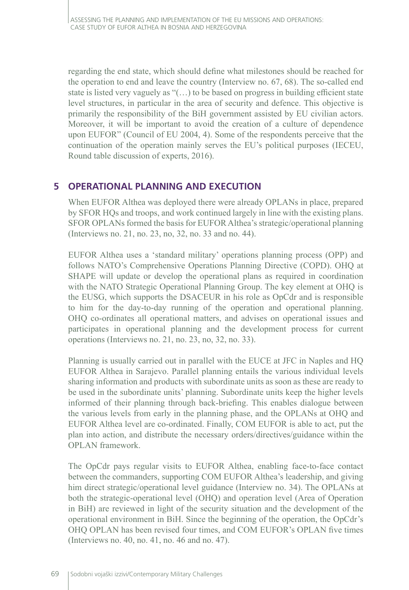regarding the end state, which should define what milestones should be reached for the operation to end and leave the country (Interview no. 67, 68). The so-called end state is listed very vaguely as "(…) to be based on progress in building efficient state level structures, in particular in the area of security and defence. This objective is primarily the responsibility of the BiH government assisted by EU civilian actors. Moreover, it will be important to avoid the creation of a culture of dependence upon EUFOR" (Council of EU 2004, 4). Some of the respondents perceive that the continuation of the operation mainly serves the EU's political purposes (IECEU, Round table discussion of experts, 2016).

# **5 OPERATIONAL PLANNING AND EXECUTION**

When EUFOR Althea was deployed there were already OPLANs in place, prepared by SFOR HQs and troops, and work continued largely in line with the existing plans. SFOR OPLANs formed the basis for EUFOR Althea's strategic/operational planning (Interviews no. 21, no. 23, no, 32, no. 33 and no. 44).

EUFOR Althea uses a 'standard military' operations planning process (OPP) and follows NATO's Comprehensive Operations Planning Directive (COPD). OHQ at SHAPE will update or develop the operational plans as required in coordination with the NATO Strategic Operational Planning Group. The key element at OHQ is the EUSG, which supports the DSACEUR in his role as OpCdr and is responsible to him for the day-to-day running of the operation and operational planning. OHQ co-ordinates all operational matters, and advises on operational issues and participates in operational planning and the development process for current operations (Interviews no. 21, no. 23, no, 32, no. 33).

Planning is usually carried out in parallel with the EUCE at JFC in Naples and HQ EUFOR Althea in Sarajevo. Parallel planning entails the various individual levels sharing information and products with subordinate units as soon as these are ready to be used in the subordinate units' planning. Subordinate units keep the higher levels informed of their planning through back-briefing. This enables dialogue between the various levels from early in the planning phase, and the OPLANs at OHQ and EUFOR Althea level are co‑ordinated. Finally, COM EUFOR is able to act, put the plan into action, and distribute the necessary orders/directives/guidance within the OPLAN framework.

The OpCdr pays regular visits to EUFOR Althea, enabling face-to-face contact between the commanders, supporting COM EUFOR Althea's leadership, and giving him direct strategic/operational level guidance (Interview no. 34). The OPLANs at both the strategic-operational level (OHQ) and operation level (Area of Operation in BiH) are reviewed in light of the security situation and the development of the operational environment in BiH. Since the beginning of the operation, the OpCdr's OHQ OPLAN has been revised four times, and COM EUFOR's OPLAN five times (Interviews no. 40, no. 41, no. 46 and no. 47).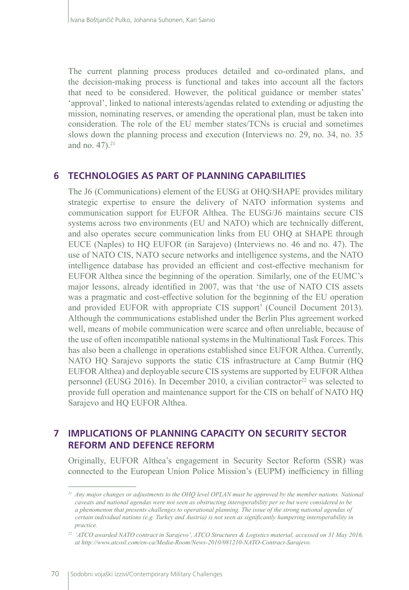The current planning process produces detailed and co-ordinated plans, and the decision-making process is functional and takes into account all the factors that need to be considered. However, the political guidance or member states' 'approval', linked to national interests/agendas related to extending or adjusting the mission, nominating reserves, or amending the operational plan, must be taken into consideration. The role of the EU member states/TCNs is crucial and sometimes slows down the planning process and execution (Interviews no. 29, no. 34, no. 35 and no. 47).<sup>21</sup>

### **6 TECHNOLOGIES AS PART OF PLANNING CAPABILITIES**

The J6 (Communications) element of the EUSG at OHQ/SHAPE provides military strategic expertise to ensure the delivery of NATO information systems and communication support for EUFOR Althea. The EUSG/J6 maintains secure CIS systems across two environments (EU and NATO) which are technically different, and also operates secure communication links from EU OHQ at SHAPE through EUCE (Naples) to HQ EUFOR (in Sarajevo) (Interviews no. 46 and no. 47). The use of NATO CIS, NATO secure networks and intelligence systems, and the NATO intelligence database has provided an efficient and cost-effective mechanism for EUFOR Althea since the beginning of the operation. Similarly, one of the EUMC's major lessons, already identified in 2007, was that 'the use of NATO CIS assets was a pragmatic and cost-effective solution for the beginning of the EU operation and provided EUFOR with appropriate CIS support' (Council Document 2013). Although the communications established under the Berlin Plus agreement worked well, means of mobile communication were scarce and often unreliable, because of the use of often incompatible national systems in the Multinational Task Forces. This has also been a challenge in operations established since EUFOR Althea. Currently, NATO HQ Sarajevo supports the static CIS infrastructure at Camp Butmir (HQ EUFOR Althea) and deployable secure CIS systems are supported by EUFOR Althea personnel (EUSG 2016). In December 2010, a civilian contractor<sup>22</sup> was selected to provide full operation and maintenance support for the CIS on behalf of NATO HQ Sarajevo and HQ EUFOR Althea.

# **7 IMPLICATIONS OF PLANNING CAPACITY ON SECURITY SECTOR REFORM AND DEFENCE REFORM**

Originally, EUFOR Althea's engagement in Security Sector Reform (SSR) was connected to the European Union Police Mission's (EUPM) inefficiency in filling

*<sup>21</sup> Any major changes or adjustments to the OHQ level OPLAN must be approved by the member nations. National caveats and national agendas were not seen as obstructing interoperability per se but were considered to be a phenomenon that presents challenges to operational planning. The issue of the strong national agendas of certain individual nations (e.g. Turkey and Austria) is not seen as significantly hampering interoperability in practice.*

*<sup>22</sup> 'ATCO awarded NATO contract in Sarajevo', ATCO Structures & Logistics material, accessed on 31 May 2016, at http://www.atcosl.com/en-ca/Media-Room/News-2010/081210-NATO-Contract-Sarajevo.*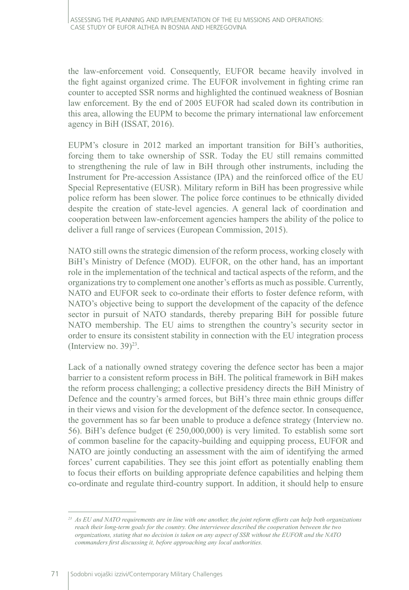the law-enforcement void. Consequently, EUFOR became heavily involved in the fight against organized crime. The EUFOR involvement in fighting crime ran counter to accepted SSR norms and highlighted the continued weakness of Bosnian law enforcement. By the end of 2005 EUFOR had scaled down its contribution in this area, allowing the EUPM to become the primary international law enforcement agency in BiH (ISSAT, 2016).

EUPM's closure in 2012 marked an important transition for BiH's authorities, forcing them to take ownership of SSR. Today the EU still remains committed to strengthening the rule of law in BiH through other instruments, including the Instrument for Pre-accession Assistance (IPA) and the reinforced office of the EU Special Representative (EUSR). Military reform in BiH has been progressive while police reform has been slower. The police force continues to be ethnically divided despite the creation of state-level agencies. A general lack of coordination and cooperation between law-enforcement agencies hampers the ability of the police to deliver a full range of services (European Commission, 2015).

NATO still owns the strategic dimension of the reform process, working closely with BiH's Ministry of Defence (MOD). EUFOR, on the other hand, has an important role in the implementation of the technical and tactical aspects of the reform, and the organizations try to complement one another's efforts as much as possible. Currently, NATO and EUFOR seek to co-ordinate their efforts to foster defence reform, with NATO's objective being to support the development of the capacity of the defence sector in pursuit of NATO standards, thereby preparing BiH for possible future NATO membership. The EU aims to strengthen the country's security sector in order to ensure its consistent stability in connection with the EU integration process (Interview no.  $39)^{23}$ .

Lack of a nationally owned strategy covering the defence sector has been a major barrier to a consistent reform process in BiH. The political framework in BiH makes the reform process challenging; a collective presidency directs the BiH Ministry of Defence and the country's armed forces, but BiH's three main ethnic groups differ in their views and vision for the development of the defence sector. In consequence, the government has so far been unable to produce a defence strategy (Interview no. 56). BiH's defence budget ( $\in$  250,000,000) is very limited. To establish some sort of common baseline for the capacity-building and equipping process, EUFOR and NATO are jointly conducting an assessment with the aim of identifying the armed forces' current capabilities. They see this joint effort as potentially enabling them to focus their efforts on building appropriate defence capabilities and helping them co‑ordinate and regulate third-country support. In addition, it should help to ensure

*<sup>23</sup> As EU and NATO requirements are in line with one another, the joint reform efforts can help both organizations reach their long-term goals for the country. One interviewee described the cooperation between the two organizations, stating that no decision is taken on any aspect of SSR without the EUFOR and the NATO commanders first discussing it, before approaching any local authorities.*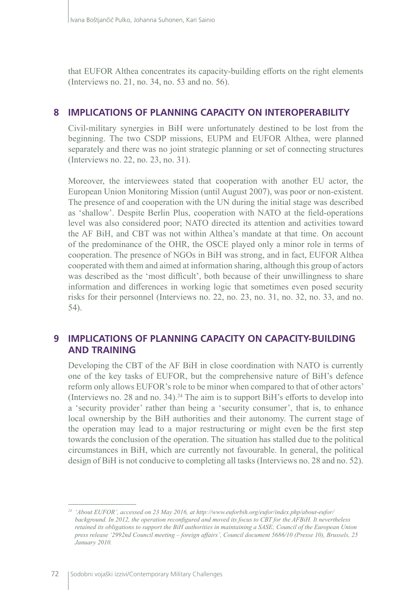that EUFOR Althea concentrates its capacity-building efforts on the right elements (Interviews no. 21, no. 34, no. 53 and no. 56).

# **8 IMPLICATIONS OF PLANNING CAPACITY ON INTEROPERABILITY**

Civil-military synergies in BiH were unfortunately destined to be lost from the beginning. The two CSDP missions, EUPM and EUFOR Althea, were planned separately and there was no joint strategic planning or set of connecting structures (Interviews no. 22, no. 23, no. 31).

Moreover, the interviewees stated that cooperation with another EU actor, the European Union Monitoring Mission (until August 2007), was poor or non-existent. The presence of and cooperation with the UN during the initial stage was described as 'shallow'. Despite Berlin Plus, cooperation with NATO at the field-operations level was also considered poor; NATO directed its attention and activities toward the AF BiH, and CBT was not within Althea's mandate at that time. On account of the predominance of the OHR, the OSCE played only a minor role in terms of cooperation. The presence of NGOs in BiH was strong, and in fact, EUFOR Althea cooperated with them and aimed at information sharing, although this group of actors was described as the 'most difficult', both because of their unwillingness to share information and differences in working logic that sometimes even posed security risks for their personnel (Interviews no. 22, no. 23, no. 31, no. 32, no. 33, and no. 54).

# **9 IMPLICATIONS OF PLANNING CAPACITY ON CAPACITY-BUILDING AND TRAINING**

Developing the CBT of the AF BiH in close coordination with NATO is currently one of the key tasks of EUFOR, but the comprehensive nature of BiH's defence reform only allows EUFOR's role to be minor when compared to that of other actors' (Interviews no. 28 and no. 34).<sup>24</sup> The aim is to support BiH's efforts to develop into a 'security provider' rather than being a 'security consumer', that is, to enhance local ownership by the BiH authorities and their autonomy. The current stage of the operation may lead to a major restructuring or might even be the first step towards the conclusion of the operation. The situation has stalled due to the political circumstances in BiH, which are currently not favourable. In general, the political design of BiH is not conducive to completing all tasks (Interviews no. 28 and no. 52).

*<sup>24</sup> 'About EUFOR', accessed on 23 May 2016, at http://www.euforbih.org/eufor/index.php/about-eufor/ background. In 2012, the operation reconfigured and moved its focus to CBT for the AFBiH. It nevertheless retained its obligations to support the BiH authorities in maintaining a SASE; Council of the European Union press release '2992nd Council meeting – foreign affairs', Council document 5686/10 (Presse 10), Brussels, 25 January 2010.*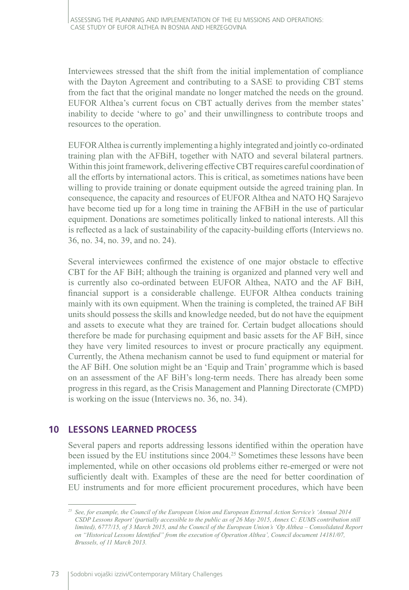Interviewees stressed that the shift from the initial implementation of compliance with the Dayton Agreement and contributing to a SASE to providing CBT stems from the fact that the original mandate no longer matched the needs on the ground. EUFOR Althea's current focus on CBT actually derives from the member states' inability to decide 'where to go' and their unwillingness to contribute troops and resources to the operation.

EUFOR Althea is currently implementing a highly integrated and jointly co‑ordinated training plan with the AFBiH, together with NATO and several bilateral partners. Within this joint framework, delivering effective CBT requires careful coordination of all the efforts by international actors. This is critical, as sometimes nations have been willing to provide training or donate equipment outside the agreed training plan. In consequence, the capacity and resources of EUFOR Althea and NATO HQ Sarajevo have become tied up for a long time in training the AFBiH in the use of particular equipment. Donations are sometimes politically linked to national interests. All this is reflected as a lack of sustainability of the capacity-building efforts (Interviews no. 36, no. 34, no. 39, and no. 24).

Several interviewees confirmed the existence of one major obstacle to effective CBT for the AF BiH; although the training is organized and planned very well and is currently also co-ordinated between EUFOR Althea, NATO and the AF BiH, financial support is a considerable challenge. EUFOR Althea conducts training mainly with its own equipment. When the training is completed, the trained AF BiH units should possess the skills and knowledge needed, but do not have the equipment and assets to execute what they are trained for. Certain budget allocations should therefore be made for purchasing equipment and basic assets for the AF BiH, since they have very limited resources to invest or procure practically any equipment. Currently, the Athena mechanism cannot be used to fund equipment or material for the AF BiH. One solution might be an 'Equip and Train' programme which is based on an assessment of the AF BiH's long-term needs. There has already been some progress in this regard, as the Crisis Management and Planning Directorate (CMPD) is working on the issue (Interviews no. 36, no. 34).

# **10 LESSONS LEARNED PROCESS**

Several papers and reports addressing lessons identified within the operation have been issued by the EU institutions since 2004.25 Sometimes these lessons have been implemented, while on other occasions old problems either re-emerged or were not sufficiently dealt with. Examples of these are the need for better coordination of EU instruments and for more efficient procurement procedures, which have been

*<sup>25</sup> See, for example, the Council of the European Union and European External Action Service's 'Annual 2014 CSDP Lessons Report' (partially accessible to the public as of 26 May 2015, Annex C: EUMS contribution still limited), 6777/15, of 3 March 2015, and the Council of the European Union's 'Op Althea – Consolidated Report on "Historical Lessons Identified" from the execution of Operation Althea', Council document 14181/07, Brussels, of 11 March 2013.*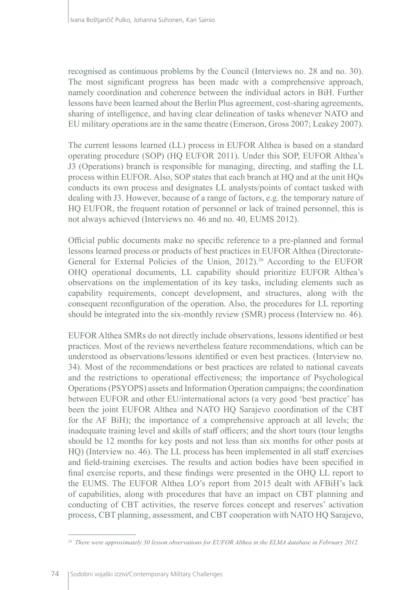recognised as continuous problems by the Council (Interviews no. 28 and no. 30). The most significant progress has been made with a comprehensive approach, namely coordination and coherence between the individual actors in BiH. Further lessons have been learned about the Berlin Plus agreement, cost-sharing agreements, sharing of intelligence, and having clear delineation of tasks whenever NATO and EU military operations are in the same theatre (Emerson, Gross 2007; Leakey 2007).

The current lessons learned (LL) process in EUFOR Althea is based on a standard operating procedure (SOP) (HQ EUFOR 2011). Under this SOP, EUFOR Althea's J3 (Operations) branch is responsible for managing, directing, and staffing the LL process within EUFOR. Also, SOP states that each branch at HQ and at the unit HQs conducts its own process and designates LL analysts/points of contact tasked with dealing with J3. However, because of a range of factors, e.g. the temporary nature of HQ EUFOR, the frequent rotation of personnel or lack of trained personnel, this is not always achieved (Interviews no. 46 and no. 40, EUMS 2012).

Official public documents make no specific reference to a pre-planned and formal lessons learned process or products of best practices in EUFOR Althea (Directorate-General for External Policies of the Union, 2012).<sup>26</sup> According to the EUFOR OHQ operational documents, LL capability should prioritize EUFOR Althea's observations on the implementation of its key tasks, including elements such as capability requirements, concept development, and structures, along with the consequent reconfiguration of the operation. Also, the procedures for LL reporting should be integrated into the six-monthly review (SMR) process (Interview no. 46).

EUFOR Althea SMRs do not directly include observations, lessons identified or best practices. Most of the reviews nevertheless feature recommendations, which can be understood as observations/lessons identified or even best practices. (Interview no. 34). Most of the recommendations or best practices are related to national caveats and the restrictions to operational effectiveness; the importance of Psychological Operations (PSYOPS) assets and Information Operation campaigns; the coordination between EUFOR and other EU/international actors (a very good 'best practice' has been the joint EUFOR Althea and NATO HQ Sarajevo coordination of the CBT for the AF BiH); the importance of a comprehensive approach at all levels; the inadequate training level and skills of staff officers; and the short tours (tour lengths should be 12 months for key posts and not less than six months for other posts at HQ) (Interview no. 46). The LL process has been implemented in all staff exercises and field-training exercises. The results and action bodies have been specified in final exercise reports, and these findings were presented in the OHQ LL report to the EUMS. The EUFOR Althea LO's report from 2015 dealt with AFBiH's lack of capabilities, along with procedures that have an impact on CBT planning and conducting of CBT activities, the reserve forces concept and reserves' activation process, CBT planning, assessment, and CBT cooperation with NATO HQ Sarajevo,

*<sup>26</sup> There were approximately 30 lesson observations for EUFOR Althea in the ELMA database in February 2012.*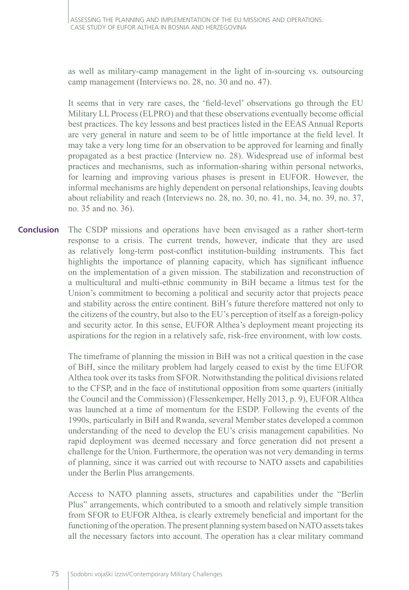as well as military-camp management in the light of in-sourcing vs. outsourcing camp management (Interviews no. 28, no. 30 and no. 47).

It seems that in very rare cases, the 'field-level' observations go through the EU Military LL Process (ELPRO) and that these observations eventually become official best practices. The key lessons and best practices listed in the EEAS Annual Reports are very general in nature and seem to be of little importance at the field level. It may take a very long time for an observation to be approved for learning and finally propagated as a best practice (Interview no. 28). Widespread use of informal best practices and mechanisms, such as information-sharing within personal networks, for learning and improving various phases is present in EUFOR. However, the informal mechanisms are highly dependent on personal relationships, leaving doubts about reliability and reach (Interviews no. 28, no. 30, no. 41, no. 34, no. 39, no. 37, no. 35 and no. 36).

The CSDP missions and operations have been envisaged as a rather short-term response to a crisis. The current trends, however, indicate that they are used as relatively long-term post-conflict institution-building instruments. This fact highlights the importance of planning capacity, which has significant influence on the implementation of a given mission. The stabilization and reconstruction of a multicultural and multi-ethnic community in BiH became a litmus test for the Union's commitment to becoming a political and security actor that projects peace and stability across the entire continent. BiH's future therefore mattered not only to the citizens of the country, but also to the EU's perception of itself as a foreign-policy and security actor. In this sense, EUFOR Althea's deployment meant projecting its aspirations for the region in a relatively safe, risk-free environment, with low costs. **Conclusion**

> The timeframe of planning the mission in BiH was not a critical question in the case of BiH, since the military problem had largely ceased to exist by the time EUFOR Althea took over its tasks from SFOR. Notwithstanding the political divisions related to the CFSP, and in the face of institutional opposition from some quarters (initially the Council and the Commission) (Flessenkemper, Helly 2013, p. 9), EUFOR Althea was launched at a time of momentum for the ESDP. Following the events of the 1990s, particularly in BiH and Rwanda, several Member states developed a common understanding of the need to develop the EU's crisis management capabilities. No rapid deployment was deemed necessary and force generation did not present a challenge for the Union. Furthermore, the operation was not very demanding in terms of planning, since it was carried out with recourse to NATO assets and capabilities under the Berlin Plus arrangements.

> Access to NATO planning assets, structures and capabilities under the "Berlin Plus" arrangements, which contributed to a smooth and relatively simple transition from SFOR to EUFOR Althea, is clearly extremely beneficial and important for the functioning of the operation. The present planning system based on NATO assets takes all the necessary factors into account. The operation has a clear military command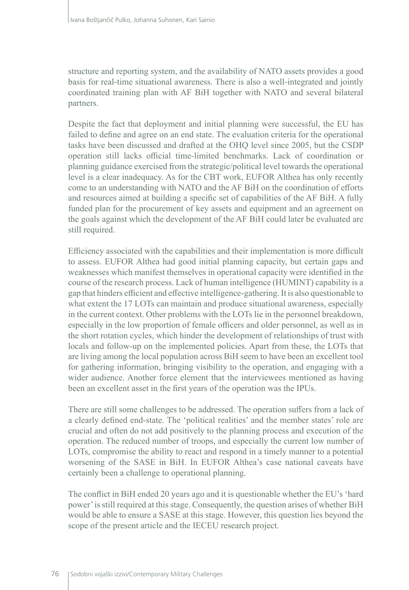structure and reporting system, and the availability of NATO assets provides a good basis for real-time situational awareness. There is also a well-integrated and jointly coordinated training plan with AF BiH together with NATO and several bilateral partners.

Despite the fact that deployment and initial planning were successful, the EU has failed to define and agree on an end state. The evaluation criteria for the operational tasks have been discussed and drafted at the OHQ level since 2005, but the CSDP operation still lacks official time-limited benchmarks. Lack of coordination or planning guidance exercised from the strategic/political level towards the operational level is a clear inadequacy. As for the CBT work, EUFOR Althea has only recently come to an understanding with NATO and the AF BiH on the coordination of efforts and resources aimed at building a specific set of capabilities of the AF BiH. A fully funded plan for the procurement of key assets and equipment and an agreement on the goals against which the development of the AF BiH could later be evaluated are still required.

Efficiency associated with the capabilities and their implementation is more difficult to assess. EUFOR Althea had good initial planning capacity, but certain gaps and weaknesses which manifest themselves in operational capacity were identified in the course of the research process. Lack of human intelligence (HUMINT) capability is a gap that hinders efficient and effective intelligence-gathering. It is also questionable to what extent the 17 LOTs can maintain and produce situational awareness, especially in the current context. Other problems with the LOTs lie in the personnel breakdown, especially in the low proportion of female officers and older personnel, as well as in the short rotation cycles, which hinder the development of relationships of trust with locals and follow-up on the implemented policies. Apart from these, the LOTs that are living among the local population across BiH seem to have been an excellent tool for gathering information, bringing visibility to the operation, and engaging with a wider audience. Another force element that the interviewees mentioned as having been an excellent asset in the first years of the operation was the IPUs.

There are still some challenges to be addressed. The operation suffers from a lack of a clearly defined end-state. The 'political realities' and the member states' role are crucial and often do not add positively to the planning process and execution of the operation. The reduced number of troops, and especially the current low number of LOTs, compromise the ability to react and respond in a timely manner to a potential worsening of the SASE in BiH. In EUFOR Althea's case national caveats have certainly been a challenge to operational planning.

The conflict in BiH ended 20 years ago and it is questionable whether the EU's 'hard power' is still required at this stage. Consequently, the question arises of whether BiH would be able to ensure a SASE at this stage. However, this question lies beyond the scope of the present article and the IECEU research project.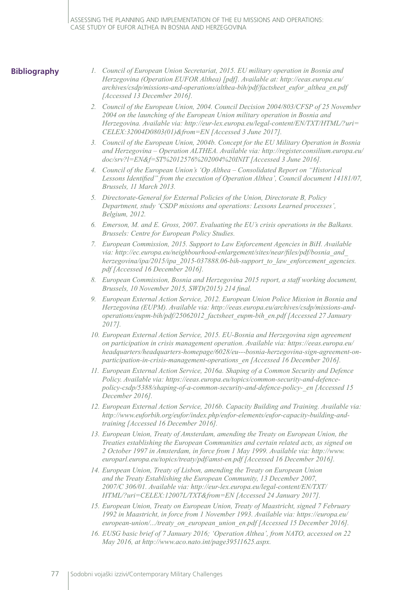ASSESSING THE PLANNING AND IMPLEMENTATION OF THE EU MISSIONS AND OPERATIONS: CASE STUDY OF EUFOR ALTHEA IN BOSNIA AND HERZEGOVINA

### **Bibliography**

- *1. Council of European Union Secretariat, 2015. EU military operation in Bosnia and Herzegovina (Operation EUFOR Althea) [pdf]. Available at: http://eeas.europa.eu/ archives/csdp/missions-and-operations/althea-bih/pdf/factsheet\_eufor\_althea\_en.pdf [Accessed 13 December 2016].*
- *2. Council of the European Union, 2004. Council Decision 2004/803/CFSP of 25 November 2004 on the launching of the European Union military operation in Bosnia and Herzegovina. Available via: http://eur-lex.europa.eu/legal-content/EN/TXT/HTML/?uri= CELEX:32004D0803(01)&from=EN [Accessed 3 June 2017].*
- *3. Council of the European Union, 2004b. Concept for the EU Military Operation in Bosnia and Herzegovina – Operation ALTHEA. Available via: http://register.consilium.europa.eu/ doc/srv?l=EN&f=ST%2012576%202004%20INIT [Accessed 3 June 2016].*
- *4. Council of the European Union's 'Op Althea Consolidated Report on "Historical*  Lessons Identified" from the execution of Operation Althea', Council document 14181/07, *Brussels, 11 March 2013.*
- *5. Directorate-General for External Policies of the Union, Directorate B, Policy Department, study 'CSDP missions and operations: Lessons Learned processes', Belgium, 2012.*
- *6. Emerson, M. and E. Gross, 2007. Evaluating the EU's crisis operations in the Balkans. Brussels: Centre for European Policy Studies.*
- *7. European Commission, 2015. Support to Law Enforcement Agencies in BiH. Available via: http://ec.europa.eu/neighbourhood-enlargement/sites/near/files/pdf/bosnia\_and\_ herzegovina/ipa/2015/ipa\_2015-037888.06-bih-support\_to\_law\_enforcement\_agencies. pdf [Accessed 16 December 2016].*
- *8. European Commission, Bosnia and Herzegovina 2015 report, a staff working document, Brussels, 10 November 2015, SWD(2015) 214 final.*
- *9. European External Action Service, 2012. European Union Police Mission in Bosnia and Herzegovina (EUPM). Available via: http://eeas.europa.eu/archives/csdp/missions-andoperations/eupm-bih/pdf/25062012\_factsheet\_eupm-bih\_en.pdf [Accessed 27 January 2017].*
- *10. European External Action Service, 2015. EU-Bosnia and Herzegovina sign agreement on participation in crisis management operation. Available via: https://eeas.europa.eu/ headquarters/headquarters-homepage/6028/eu---bosnia-herzegovina-sign-agreement-onparticipation-in-crisis-management-operations\_en [Accessed 16 December 2016].*
- *11. European External Action Service, 2016a. Shaping of a Common Security and Defence Policy. Available via: https://eeas.europa.eu/topics/common-security-and-defencepolicy-csdp/5388/shaping-of-a-common-security-and-defence-policy-\_en [Accessed 15 December 2016].*
- *12. European External Action Service, 2016b. Capacity Building and Training. Available via: http://www.euforbih.org/eufor/index.php/eufor-elements/eufor-capacity-building-andtraining [Accessed 16 December 2016].*
- *13. European Union, Treaty of Amsterdam, amending the Treaty on European Union, the Treaties establishing the European Communities and certain related acts, as signed on 2 October 1997 in Amsterdam, in force from 1 May 1999. Available via: http://www. europarl.europa.eu/topics/treaty/pdf/amst-en.pdf [Accessed 16 December 2016].*
- *14. European Union, Treaty of Lisbon, amending the Treaty on European Union and the Treaty Establishing the European Community, 13 December 2007, 2007/C 306/01. Available via: http://eur-lex.europa.eu/legal-content/EN/TXT/ HTML/?uri=CELEX:12007L/TXT&from=EN [Accessed 24 January 2017].*
- *15. European Union, Treaty on European Union, Treaty of Maastricht, signed 7 February 1992 in Maastricht, in force from 1 November 1993. Available via: https://europa.eu/ european-union/.../treaty\_on\_european\_union\_en.pdf [Accessed 15 December 2016].*
- *16. EUSG basic brief of 7 January 2016; 'Operation Althea', from NATO, accessed on 22 May 2016, at http://www.aco.nato.int/page39511625.aspx.*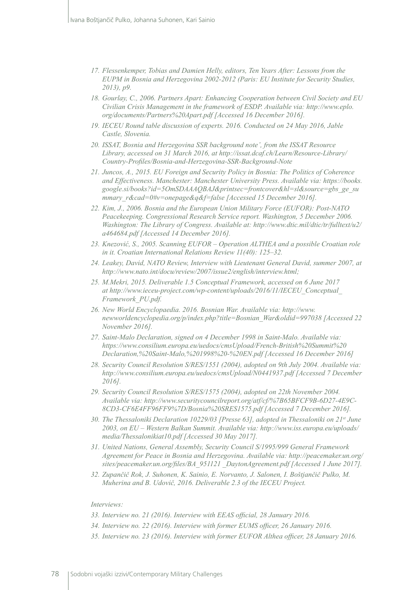- *17. Flessenkemper, Tobias and Damien Helly, editors, Ten Years After: Lessons from the EUPM in Bosnia and Herzegovina 2002-2012 (Paris: EU Institute for Security Studies, 2013), p9.*
- *18. Gourlay, C., 2006. Partners Apart: Enhancing Cooperation between Civil Society and EU Civilian Crisis Management in the framework of ESDP. Available via: http://www.eplo. org/documents/Partners%20Apart.pdf [Accessed 16 December 2016].*
- *19. IECEU Round table discussion of experts. 2016. Conducted on 24 May 2016, Jable Castle, Slovenia.*
- *20. ISSAT, Bosnia and Herzegovina SSR background note', from the ISSAT Resource Library, accessed on 31 March 2016, at http://issat.dcaf.ch/Learn/Resource‑Library/ Country‑Profiles/Bosnia‑and‑Herzegovina‑SSR‑Background‑Note*
- *21. Juncos, A., 2015. EU Foreign and Security Policy in Bosnia: The Politics of Coherence and Effectiveness. Manchester: Manchester University Press. Available via: https://books. google.si/books?id=5OmSDAAAQBAJ&printsec=frontcover&hl=sl&source=gbs\_ge\_su mmary\_r&cad=0#v=onepage&q&f=false [Accessed 15 December 2016].*
- *22. Kim, J., 2006. Bosnia and the European Union Military Force (EUFOR): Post-NATO Peacekeeping. Congressional Research Service report. Washington, 5 December 2006. Washington: The Library of Congress. Available at: http://www.dtic.mil/dtic/tr/fulltext/u2/ a464684.pdf [Accessed 14 December 2016].*
- *23. Knezović, S., 2005. Scanning EUFOR Operation ALTHEA and a possible Croatian role in it. Croatian International Relations Review 11(40): 125–32.*
- *24. Leakey, David, NATO Review, Interview with Lieutenant General David, summer 2007, at http://www.nato.int/docu/review/2007/issue2/english/interview.html;*
- *25. M.Mekri, 2015. Deliverable 1.5 Conceptual Framework, accessed on 6 June 2017 at http://www.ieceu-project.com/wp-content/uploads/2016/11/IECEU\_Conceptual\_ Framework\_PU.pdf.*
- *26. New World Encyclopaedia. 2016. Bosnian War. Available via: http://www. newworldencyclopedia.org/p/index.php?title=Bosnian\_War&oldid=997038 [Accessed 22 November 2016].*
- *27. Saint-Malo Declaration, signed on 4 December 1998 in Saint-Malo. Available via: https://www.consilium.europa.eu/uedocs/cmsUpload/French-British%20Summit%20 Declaration,%20Saint-Malo,%201998%20-%20EN.pdf [Accessed 16 December 2016]*
- *28. Security Council Resolution S/RES/1551 (2004), adopted on 9th July 2004. Available via: http://www.consilium.europa.eu/uedocs/cmsUpload/N0441937.pdf [Accessed 7 December 2016].*
- *29. Security Council Resolution S/RES/1575 (2004), adopted on 22th November 2004. Available via: http://www.securitycouncilreport.org/atf/cf/%7B65BFCF9B-6D27-4E9C-8CD3-CF6E4FF96FF9%7D/Bosnia%20SRES1575.pdf [Accessed 7 December 2016].*
- *30. The Thessaloniki Declaration 10229/03 [Presse 63], adopted in Thessaloniki on 21st June 2003, on EU – Western Balkan Summit. Available via: http://www.iss.europa.eu/uploads/ media/Thessalonikiat10.pdf [Accessed 30 May 2017].*
- *31. United Nations, General Assembly, Security Council S/1995/999 General Framework Agreement for Peace in Bosnia and Herzegovina. Available via: http://peacemaker.un.org/ sites/peacemaker.un.org/files/BA\_951121 \_DaytonAgreement.pdf [Accessed 1 June 2017].*
- *32. Zupančič Rok, J. Suhonen, K. Sainio, E. Norvanto, J. Salonen, I. Boštjančič Pulko, M. Muherina and B. Udovič, 2016. Deliverable 2.3 of the IECEU Project.*

### *Interviews:*

- *33. Interview no. 21 (2016). Interview with EEAS official, 28 January 2016.*
- *34. Interview no. 22 (2016). Interview with former EUMS officer, 26 January 2016.*
- *35. Interview no. 23 (2016). Interview with former EUFOR Althea officer, 28 January 2016.*